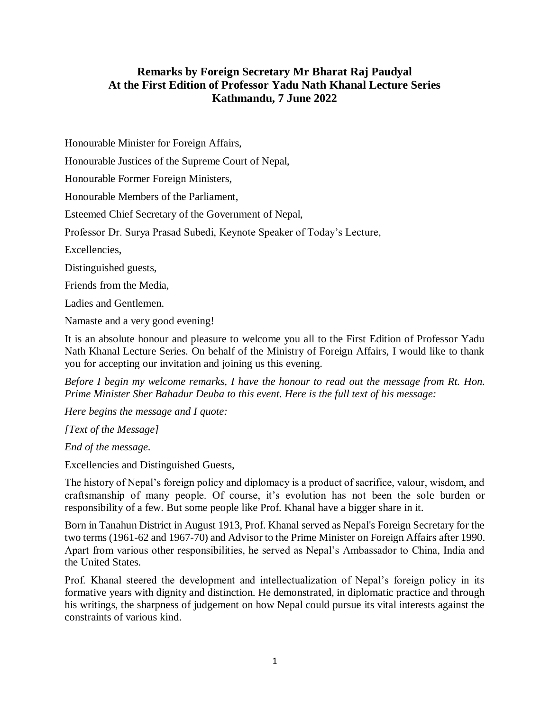## **Remarks by Foreign Secretary Mr Bharat Raj Paudyal At the First Edition of Professor Yadu Nath Khanal Lecture Series Kathmandu, 7 June 2022**

Honourable Minister for Foreign Affairs,

Honourable Justices of the Supreme Court of Nepal,

Honourable Former Foreign Ministers,

Honourable Members of the Parliament,

Esteemed Chief Secretary of the Government of Nepal,

Professor Dr. Surya Prasad Subedi, Keynote Speaker of Today's Lecture,

Excellencies,

Distinguished guests,

Friends from the Media,

Ladies and Gentlemen.

Namaste and a very good evening!

It is an absolute honour and pleasure to welcome you all to the First Edition of Professor Yadu Nath Khanal Lecture Series. On behalf of the Ministry of Foreign Affairs, I would like to thank you for accepting our invitation and joining us this evening.

*Before I begin my welcome remarks, I have the honour to read out the message from Rt. Hon. Prime Minister Sher Bahadur Deuba to this event. Here is the full text of his message:*

*Here begins the message and I quote:*

*[Text of the Message]*

*End of the message.*

Excellencies and Distinguished Guests,

The history of Nepal's foreign policy and diplomacy is a product of sacrifice, valour, wisdom, and craftsmanship of many people. Of course, it's evolution has not been the sole burden or responsibility of a few. But some people like Prof. Khanal have a bigger share in it.

Born in Tanahun District in August 1913, Prof. Khanal served as Nepal's Foreign Secretary for the two terms (1961-62 and 1967-70) and Advisor to the Prime Minister on Foreign Affairs after 1990. Apart from various other responsibilities, he served as Nepal's Ambassador to China, India and the United States.

Prof. Khanal steered the development and intellectualization of Nepal's foreign policy in its formative years with dignity and distinction. He demonstrated, in diplomatic practice and through his writings, the sharpness of judgement on how Nepal could pursue its vital interests against the constraints of various kind.